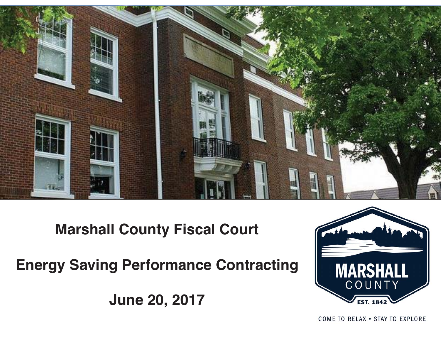

### **Marshall County Fiscal Court**

**Energy Saving Performance Contracting**

**June 20, 2017**



COME TO RELAX . STAY TO EXPLORE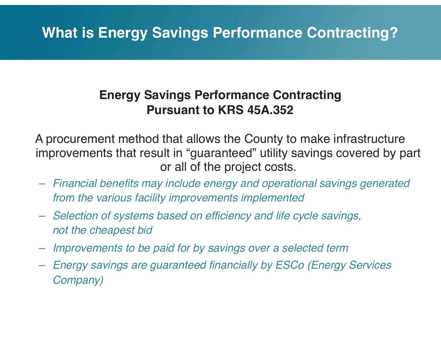## **What is Energy Savings Performance Contracting?**

### **Energy Savings Performance Contracting Pursuant to KRS 45A.352**

A procurement method that allows the County to make infrastructure improvements that result in "guaranteed" utility savings covered by part or all of the project costs.

- *Financial benefits may include energy and operational savings generated from the various facility improvements implemented*
- *Selection of systems based on efficiency and life cycle savings, not the cheapest bid*
- *Improvements to be paid for by savings over a selected term*
- *Energy savings are guaranteed financially by ESCo (Energy Services Company)*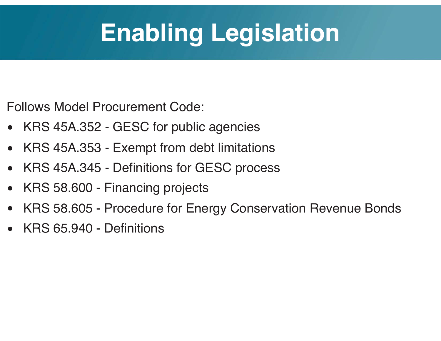# **Enabling Legislation**

Follows Model Procurement Code:

- •KRS 45A.352 - GESC for public agencies
- $\bullet$ KRS 45A.353 - Exempt from debt limitations
- •KRS 45A.345 - Definitions for GESC process
- •KRS 58.600 - Financing projects
- •KRS 58.605 - Procedure for Energy Conservation Revenue Bonds
- •KRS 65.940 - Definitions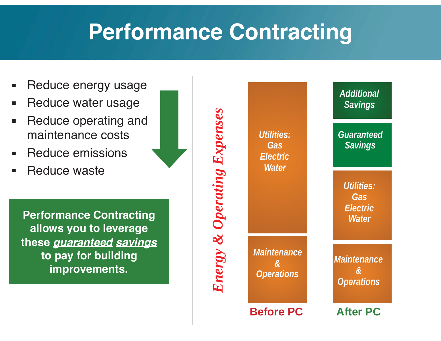# **Performance Contracting**

- Reduce energy usage
- $\blacksquare$ Reduce water usage
- ▪ Reduce operating and maintenance costs
- Reduce emissions
- Reduce waste

**Performance Contracting allows you to leverage these** *guaranteed savings* **to pay for building improvements.**

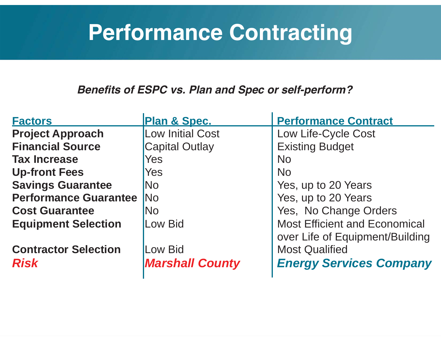# **Performance Contracting**

*Benefits of ESPC vs. Plan and Spec or self-perform?*

| <b>Factors</b>               | <b>Plan &amp; Spec.</b> | <b>Performance Contract</b>          |
|------------------------------|-------------------------|--------------------------------------|
| <b>Project Approach</b>      | <b>Low Initial Cost</b> | Low Life-Cycle Cost                  |
| <b>Financial Source</b>      | <b>Capital Outlay</b>   | <b>Existing Budget</b>               |
| <b>Tax Increase</b>          | Yes                     | <b>No</b>                            |
| <b>Up-front Fees</b>         | <b>Yes</b>              | <b>No</b>                            |
| <b>Savings Guarantee</b>     | <b>No</b>               | Yes, up to 20 Years                  |
| <b>Performance Guarantee</b> | <b>No</b>               | Yes, up to 20 Years                  |
| <b>Cost Guarantee</b>        | <b>No</b>               | Yes, No Change Orders                |
| <b>Equipment Selection</b>   | Low Bid                 | <b>Most Efficient and Economical</b> |
|                              |                         | over Life of Equipment/Building      |
| <b>Contractor Selection</b>  | Low Bid                 | <b>Most Qualified</b>                |
| <b>Risk</b>                  | <b>Marshall County</b>  | <b>Energy Services Company</b>       |
|                              |                         |                                      |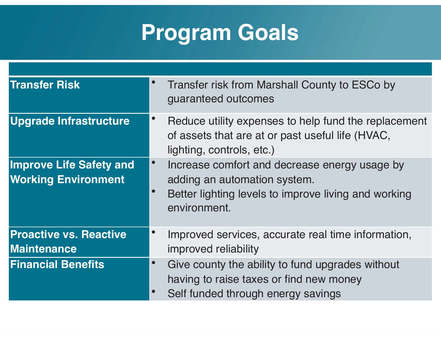# **Program Goals**

| <b>Transfer Risk</b>                                         |                        | Transfer risk from Marshall County to ESCo by<br>guaranteed outcomes                                                                                  |
|--------------------------------------------------------------|------------------------|-------------------------------------------------------------------------------------------------------------------------------------------------------|
| <b>Upgrade Infrastructure</b>                                | $\bullet$              | Reduce utility expenses to help fund the replacement<br>of assets that are at or past useful life (HVAC,<br>lighting, controls, etc.)                 |
| <b>Improve Life Safety and</b><br><b>Working Environment</b> | $\bullet$<br>$\bullet$ | Increase comfort and decrease energy usage by<br>adding an automation system.<br>Better lighting levels to improve living and working<br>environment. |
| <b>Proactive vs. Reactive</b><br><b>Maintenance</b>          | $\bullet$              | Improved services, accurate real time information,<br>improved reliability                                                                            |
| <b>Financial Benefits</b>                                    | $\bullet$<br>$\bullet$ | Give county the ability to fund upgrades without<br>having to raise taxes or find new money<br>Self funded through energy savings                     |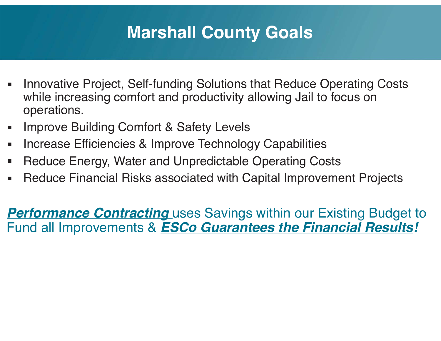## **Marshall County Goals**

- ▪ Innovative Project, Self-funding Solutions that Reduce Operating Costs while increasing comfort and productivity allowing Jail to focus on operations.
- ▪Improve Building Comfort & Safety Levels
- ▪Increase Efficiencies & Improve Technology Capabilities
- ▪Reduce Energy, Water and Unpredictable Operating Costs
- $\Box$ Reduce Financial Risks associated with Capital Improvement Projects

**Performance Contracting** uses Savings within our Existing Budget to Fund all Improvements & *ESCo Guarantees the Financial Results!*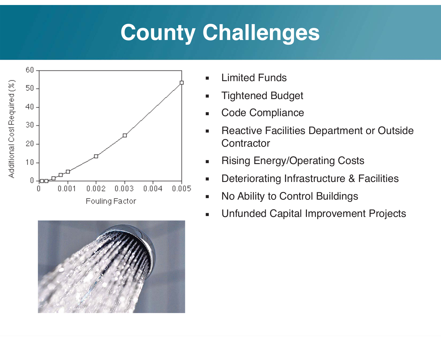# **County Challenges**





- ▪Limited Funds
- ▪Tightened Budget
- ▪Code Compliance
- ▪ Reactive Facilities Department or Outside **Contractor**
- ▪Rising Energy/Operating Costs
- ▪Deteriorating Infrastructure & Facilities
- ▪No Ability to Control Buildings
- ▪Unfunded Capital Improvement Projects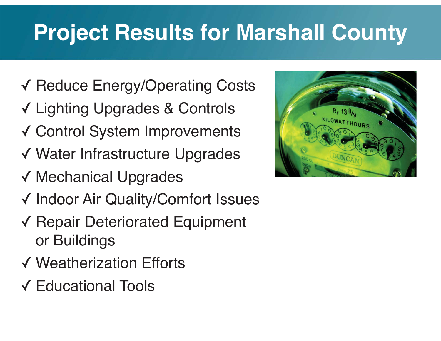# **Project Results for Marshall County**

- ✓ Reduce Energy/Operating Costs
- ✓ Lighting Upgrades & Controls
- ✓ Control System Improvements
- ✓ Water Infrastructure Upgrades
- ✓ Mechanical Upgrades
- ✓ Indoor Air Quality/Comfort Issues
- ✓ Repair Deteriorated Equipment or Buildings
- ✓ Weatherization Efforts
- ✓ Educational Tools

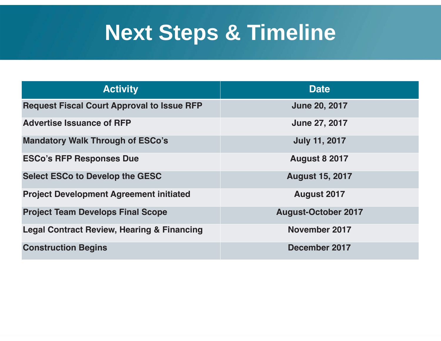# **Next Steps & Timeline**

| <b>Activity</b>                                       | <b>Date</b>                |
|-------------------------------------------------------|----------------------------|
| <b>Request Fiscal Court Approval to Issue RFP</b>     | <b>June 20, 2017</b>       |
| <b>Advertise Issuance of RFP</b>                      | <b>June 27, 2017</b>       |
| <b>Mandatory Walk Through of ESCo's</b>               | <b>July 11, 2017</b>       |
| <b>ESCo's RFP Responses Due</b>                       | <b>August 8 2017</b>       |
| <b>Select ESCo to Develop the GESC</b>                | <b>August 15, 2017</b>     |
| <b>Project Development Agreement initiated</b>        | <b>August 2017</b>         |
| <b>Project Team Develops Final Scope</b>              | <b>August-October 2017</b> |
| <b>Legal Contract Review, Hearing &amp; Financing</b> | <b>November 2017</b>       |
| <b>Construction Begins</b>                            | December 2017              |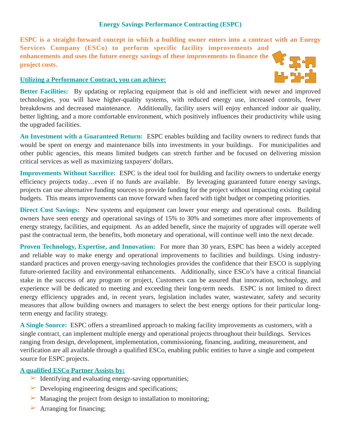### **Energy Savings Performance Contracting (ESPC)**

**ESPC is a straight-forward concept in which a building owner enters into a contract with an Energy Services Company (ESCo) to perform specific facility improvements and enhancements and uses the future energy savings of these improvements to finance the project costs.** 

 $\mathbf{U}_{\mathbf{A}}$  gua

#### **Utilizing a Performance Contract, you can achieve:**

**Better Facilities:** By updating or replacing equipment that is old and inefficient with newer and improved technologies, you will have higher-quality systems, with reduced energy use, increased controls, fewer breakdowns and decreased maintenance. Additionally, facility users will enjoy enhanced indoor air quality, better lighting, and a more comfortable environment, which positively influences their productivity while using the upgraded facilities.

**An Investment with a Guaranteed Return:** ESPC enables building and facility owners to redirect funds that would be spent on energy and maintenance bills into investments in your buildings. For municipalities and other public agencies, this means limited budgets can stretch further and be focused on delivering mission critical services as well as maximizing taxpayers' dollars.

**Improvements Without Sacrifice:** ESPC is the ideal tool for building and facility owners to undertake energy efficiency projects today…even if no funds are available. By leveraging guaranteed future energy savings, projects can use alternative funding sources to provide funding for the project without impacting existing capital budgets. This means improvements can move forward when faced with tight budget or competing priorities.

**Direct Cost Savings:** New systems and equipment can lower your energy and operational costs. Building owners have seen energy and operational savings of 15% to 30% and sometimes more after improvements of energy strategy, facilities, and equipment. As an added benefit, since the majority of upgrades will operate well past the contractual term, the benefits, both monetary and operational, will continue well into the next decade.

**Proven Technology, Expertise, and Innovation:** For more than 30 years, ESPC has been a widely accepted and reliable way to make energy and operational improvements to facilities and buildings. Using industrystandard practices and proven energy-saving technologies provides the confidence that their ESCO is supplying future-oriented facility and environmental enhancements. Additionally, since ESCo's have a critical financial stake in the success of any program or project, Customers can be assured that innovation, technology, and experience will be dedicated to meeting and exceeding their long-term needs. ESPC is not limited to direct energy efficiency upgrades and, in recent years, legislation includes water, wastewater, safety and security measures that allow building owners and managers to select the best energy options for their particular longterm energy and facility strategy.

**A Single Source:** ESPC offers a streamlined approach to making facility improvements as customers, with a single contract, can implement multiple energy and operational projects throughout their buildings. Services ranging from design, development, implementation, commissioning, financing, auditing, measurement, and verification are all available through a qualified ESCo, enabling public entities to have a single and competent source for ESPC projects.

#### **A qualified ESCo Partner Assists by:**

- $\triangleright$  Identifying and evaluating energy-saving opportunities;
- $\triangleright$  Developing engineering designs and specifications;
- $\triangleright$  Managing the project from design to installation to monitoring;
- $\triangleright$  Arranging for financing;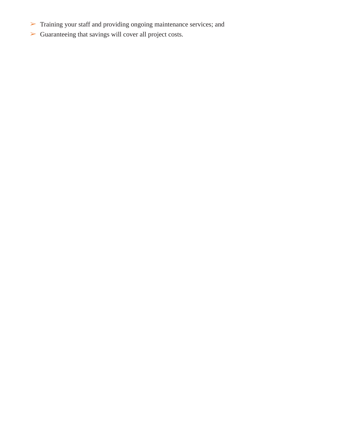- Training your staff and providing ongoing maintenance services; and
- Guaranteeing that savings will cover all project costs.